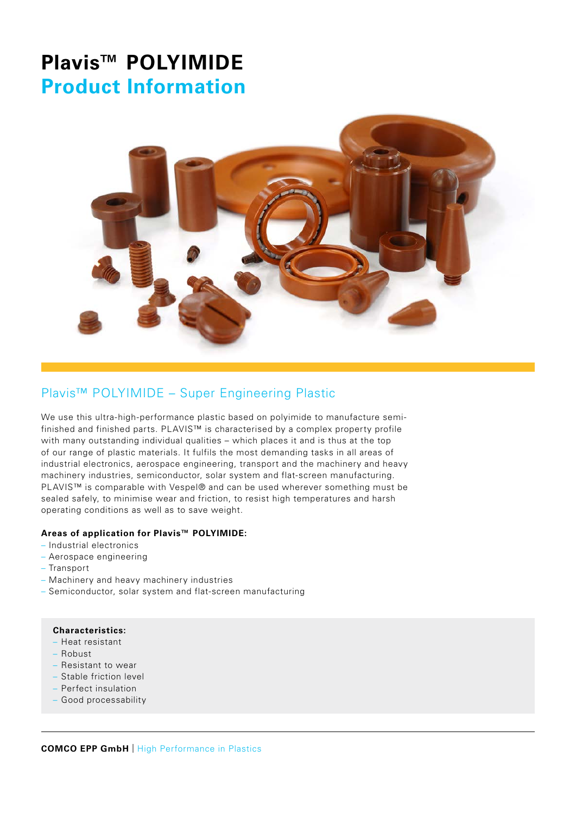

## Plavis™ POLYIMIDE – Super Engineering Plastic

We use this ultra-high-performance plastic based on polyimide to manufacture semifinished and finished parts. PLAVIS™ is characterised by a complex property profile with many outstanding individual qualities – which places it and is thus at the top of our range of plastic materials. It fulfils the most demanding tasks in all areas of industrial electronics, aerospace engineering, transport and the machinery and heavy machinery industries, semiconductor, solar system and flat-screen manufacturing. PLAVIS™ is comparable with Vespel® and can be used wherever something must be sealed safely, to minimise wear and friction, to resist high temperatures and harsh operating conditions as well as to save weight.

#### **Areas of application for Plavis™ POLYIMIDE:**

- Industrial electronics
- Aerospace engineering
- Transport
- Machinery and heavy machinery industries
- Semiconductor, solar system and flat-screen manufacturing

#### **Characteristics:**

- Heat resistant
- Robust
- Resistant to wear
- Stable friction level
- Perfect insulation
- Good processability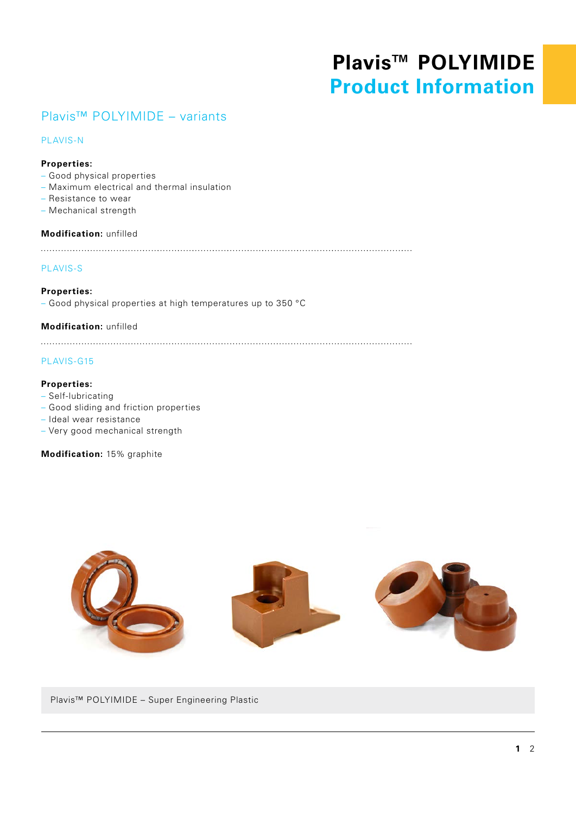### Plavis™ POLYIMIDE – variants

#### PLAVIS-N

#### **Properties:**

- Good physical properties
- Maximum electrical and thermal insulation
- Resistance to wear
- Mechanical strength

#### **Modification:** unfilled

#### PLAVIS-S

**Properties:** – Good physical properties at high temperatures up to 350 °C

#### **Modification:** unfilled

#### PLAVIS-G15

#### **Properties:**

- Self-lubricating
- Good sliding and friction properties
- Ideal wear resistance
- Very good mechanical strength

**Modification:** 15% graphite



Plavis™ POLYIMIDE – Super Engineering Plastic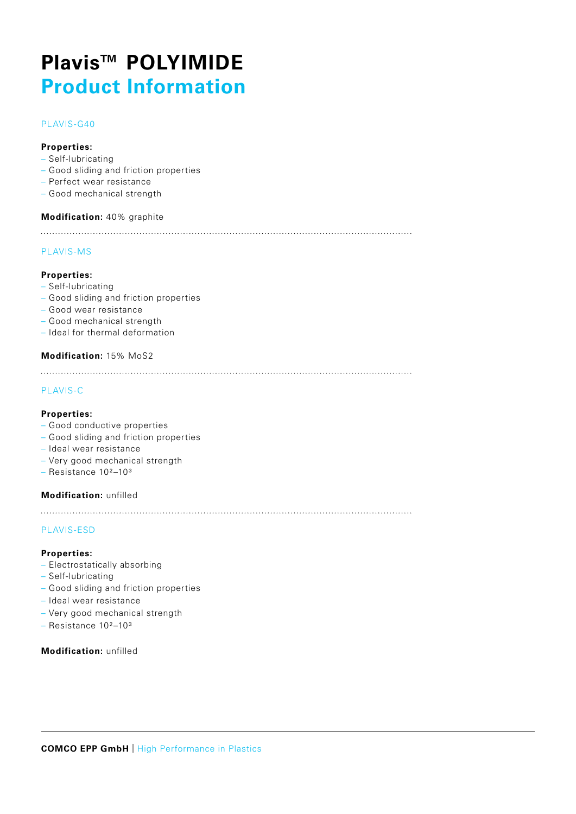#### PLAVIS-G40

#### **Properties:**

- Self-lubricating
- Good sliding and friction properties
- Perfect wear resistance
- Good mechanical strength

#### **Modification:** 40% graphite

#### PLAVIS-MS

#### **Properties:**

- Self-lubricating
- Good sliding and friction properties
- Good wear resistance
- Good mechanical strength
- Ideal for thermal deformation

#### **Modification:** 15% MoS2

#### PLAVIS-C

#### **Properties:**

- Good conductive properties
- Good sliding and friction properties
- Ideal wear resistance
- Very good mechanical strength
- Resistance 10²–10³

#### **Modification:** unfilled

#### PLAVIS-ESD

#### **Properties:**

- Electrostatically absorbing
- Self-lubricating
- Good sliding and friction properties
- Ideal wear resistance
- Very good mechanical strength
- Resistance 10²–10³

#### **Modification:** unfilled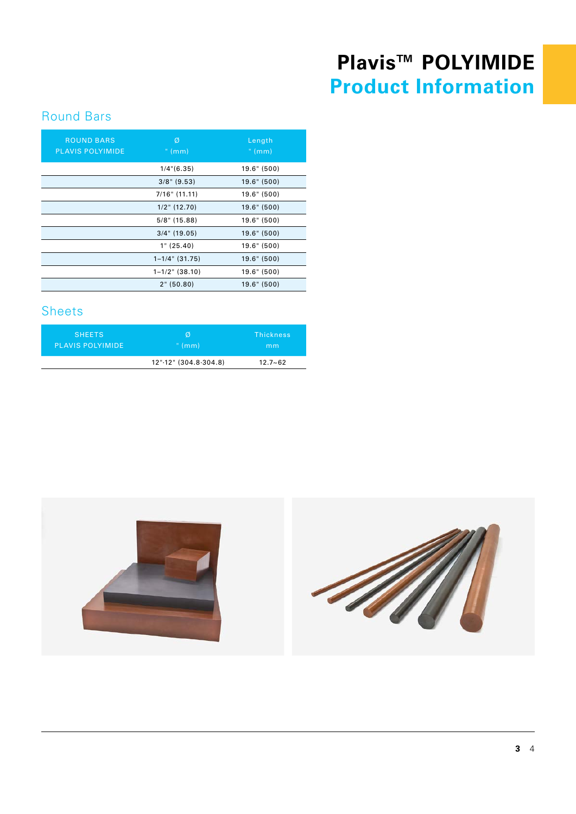## Round Bars

| <b>ROUND BARS</b><br><b>PLAVIS POLYIMIDE</b> | Ø<br>" $(mm)$       | Length<br>" $(mm)$ |
|----------------------------------------------|---------------------|--------------------|
|                                              | $1/4$ " $(6.35)$    | 19.6" (500)        |
|                                              | $3/8$ " (9.53)      | 19.6" (500)        |
|                                              | $7/16"$ (11.11)     | 19.6" (500)        |
|                                              | $1/2$ " (12.70)     | 19.6" (500)        |
|                                              | $5/8$ " (15.88)     | 19.6" (500)        |
|                                              | $3/4$ " (19.05)     | 19.6" (500)        |
|                                              | 1" (25.40)          | 19.6" (500)        |
|                                              | $1 - 1/4$ " (31.75) | 19.6" (500)        |
|                                              | $1 - 1/2$ " (38.10) | 19.6" (500)        |
|                                              | 2" (50.80)          | 19.6" (500)        |
|                                              |                     |                    |

### Sheets

| <b>SHEETS</b>           | Ø                     | Thickness   |
|-------------------------|-----------------------|-------------|
| <b>PLAVIS POLYIMIDE</b> | " $(mm)$              | mm          |
|                         | 12"-12" (304.8-304.8) | $12.7 - 62$ |